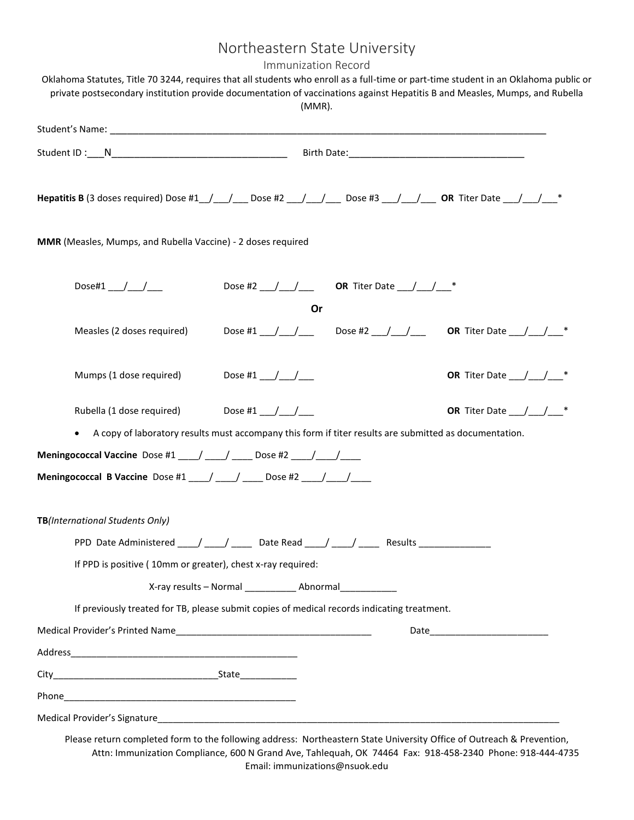## Northeastern State University

Immunization Record

|  | private postsecondary institution provide documentation of vaccinations against Hepatitis B and Measles, Mumps, and Rubella  | $(MMR)$ .           |                                              |                                             |
|--|------------------------------------------------------------------------------------------------------------------------------|---------------------|----------------------------------------------|---------------------------------------------|
|  |                                                                                                                              |                     |                                              |                                             |
|  |                                                                                                                              |                     |                                              |                                             |
|  | <b>Hepatitis B</b> (3 doses required) Dose #1__/___/____Dose #2 ___/___/_____Dose #3 ___/___/_____OR Titer Date ___/___/___* |                     |                                              |                                             |
|  | MMR (Measles, Mumps, and Rubella Vaccine) - 2 doses required                                                                 |                     |                                              |                                             |
|  | Dose#1 / /                                                                                                                   |                     | Dose #2 __/ __/ __ OR Titer Date __/ __/ __* |                                             |
|  |                                                                                                                              | Or                  |                                              |                                             |
|  | Measles (2 doses required)                                                                                                   |                     |                                              |                                             |
|  | Mumps (1 dose required)                                                                                                      | Dose #1 __/ __/ ___ |                                              | OR Titer Date $\_\_\_\_\_\_\_\_\_\_\_\_*^*$ |
|  | Rubella (1 dose required)                                                                                                    | Dose #1 __/ __/ ___ |                                              | OR Titer Date $\_\_\_\_\_\_\_\_\_\_\_*^*$   |
|  | A copy of laboratory results must accompany this form if titer results are submitted as documentation.<br>$\bullet$          |                     |                                              |                                             |
|  | <b>Meningococcal Vaccine</b> Dose #1 ___/ ___/ ____ Dose #2 ___/ ___/ ____                                                   |                     |                                              |                                             |
|  | Meningococcal B Vaccine Dose #1 ___/ ___/ ___ Dose #2 ___/ ___/                                                              |                     |                                              |                                             |
|  | TB(International Students Only)                                                                                              |                     |                                              |                                             |
|  | PPD Date Administered _____/ ______ Date Read ____/ _____/ _____ Results ________                                            |                     |                                              |                                             |
|  | If PPD is positive (10mm or greater), chest x-ray required:                                                                  |                     |                                              |                                             |
|  |                                                                                                                              |                     |                                              |                                             |
|  | If previously treated for TB, please submit copies of medical records indicating treatment.                                  |                     |                                              |                                             |
|  |                                                                                                                              |                     |                                              |                                             |
|  |                                                                                                                              |                     |                                              |                                             |
|  |                                                                                                                              |                     |                                              |                                             |
|  |                                                                                                                              |                     |                                              |                                             |
|  |                                                                                                                              |                     |                                              |                                             |

Please return completed form to the following address: Northeastern State University Office of Outreach & Prevention, Attn: Immunization Compliance, 600 N Grand Ave, Tahlequah, OK 74464 Fax: 918-458-2340 Phone: 918-444-4735 Email: immunizations@nsuok.edu